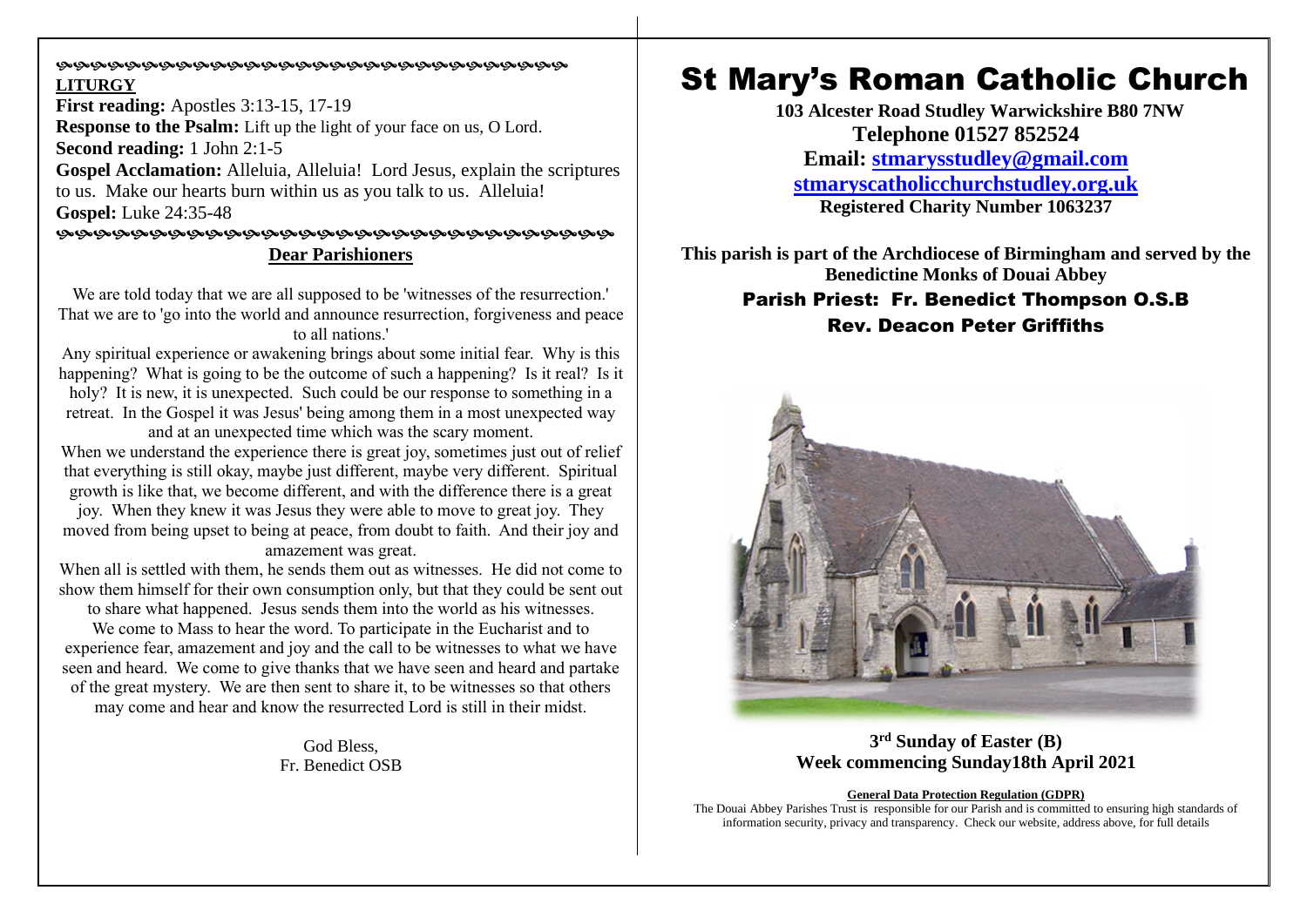#### **©©©©©©©©©©©©©©©©©©©©©©©©©©©©©©©**©©©© **LITURGY**

**First reading:** Apostles 3:13-15, 17-19 **Response to the Psalm:** Lift up the light of your face on us, O Lord. **Second reading:** 1 John 2:1-5 **Gospel Acclamation:** Alleluia, Alleluia! Lord Jesus, explain the scriptures to us. Make our hearts burn within us as you talk to us. Alleluia! **Gospel:** Luke 24:35-48 

# **Dear Parishioners**

We are told today that we are all supposed to be 'witnesses of the resurrection.' That we are to 'go into the world and announce resurrection, forgiveness and peace to all nations.'

Any spiritual experience or awakening brings about some initial fear. Why is this happening? What is going to be the outcome of such a happening? Is it real? Is it holy? It is new, it is unexpected. Such could be our response to something in a retreat. In the Gospel it was Jesus' being among them in a most unexpected way and at an unexpected time which was the scary moment.

When we understand the experience there is great joy, sometimes just out of relief that everything is still okay, maybe just different, maybe very different. Spiritual growth is like that, we become different, and with the difference there is a great

joy. When they knew it was Jesus they were able to move to great joy. They moved from being upset to being at peace, from doubt to faith. And their joy and amazement was great.

When all is settled with them, he sends them out as witnesses. He did not come to show them himself for their own consumption only, but that they could be sent out

to share what happened. Jesus sends them into the world as his witnesses.

We come to Mass to hear the word. To participate in the Eucharist and to experience fear, amazement and joy and the call to be witnesses to what we have seen and heard. We come to give thanks that we have seen and heard and partake of the great mystery. We are then sent to share it, to be witnesses so that others may come and hear and know the resurrected Lord is still in their midst.

> God Bless, Fr. Benedict OSB

# St Mary's Roman Catholic Church

**103 Alcester Road Studley Warwickshire B80 7NW Telephone 01527 852524 Email: [stmarysstudley@gmail.com](mailto:stmarysstudley@gmail.com) [stmaryscatholicchurchstudley.org.uk](http://www.stmaryscatholicchurchstudley.org.uk/) Registered Charity Number 1063237**

**This parish is part of the Archdiocese of Birmingham and served by the Benedictine Monks of Douai Abbey** Parish Priest: Fr. Benedict Thompson O.S.B Rev. Deacon Peter Griffiths



# **3 rd Sunday of Easter (B) Week commencing Sunday18th April 2021**

#### **General Data Protection Regulation (GDPR)**

The Douai Abbey Parishes Trust is responsible for our Parish and is committed to ensuring high standards of information security, privacy and transparency. Check our website, address above, for full details